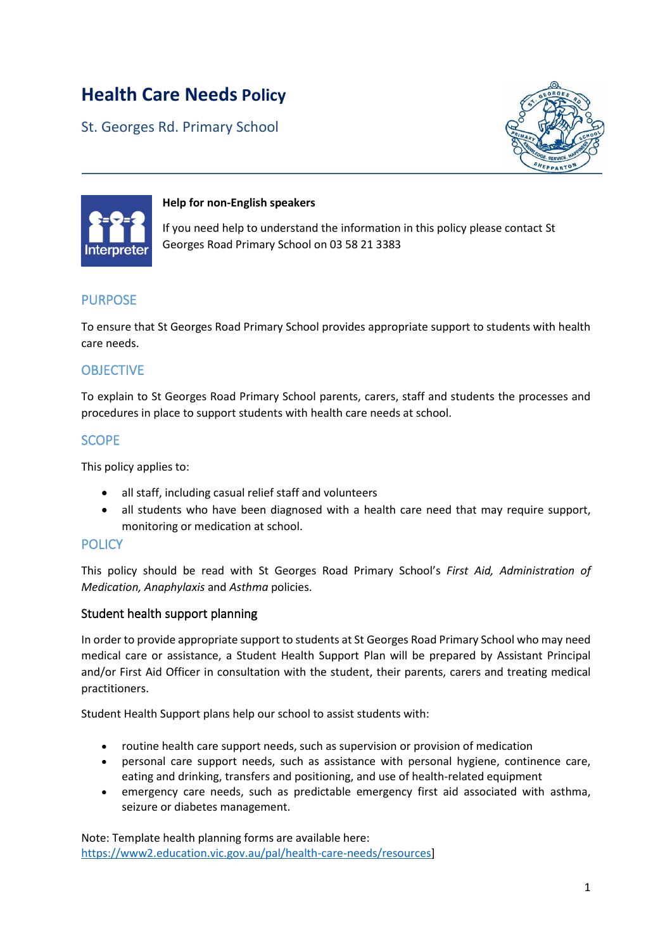# **Health Care Needs Policy**

St. Georges Rd. Primary School





#### **Help for non-English speakers**

If you need help to understand the information in this policy please contact St Georges Road Primary School on 03 58 21 3383

## PURPOSE

To ensure that St Georges Road Primary School provides appropriate support to students with health care needs.

## **OBJECTIVE**

To explain to St Georges Road Primary School parents, carers, staff and students the processes and procedures in place to support students with health care needs at school.

## SCOPE

This policy applies to:

- all staff, including casual relief staff and volunteers
- all students who have been diagnosed with a health care need that may require support, monitoring or medication at school.

#### **POLICY**

This policy should be read with St Georges Road Primary School's *First Aid, Administration of Medication, Anaphylaxis* and *Asthma* policies.

#### Student health support planning

In order to provide appropriate support to students at St Georges Road Primary School who may need medical care or assistance, a Student Health Support Plan will be prepared by Assistant Principal and/or First Aid Officer in consultation with the student, their parents, carers and treating medical practitioners.

Student Health Support plans help our school to assist students with:

- routine health care support needs, such as supervision or provision of medication
- personal care support needs, such as assistance with personal hygiene, continence care, eating and drinking, transfers and positioning, and use of health-related equipment
- emergency care needs, such as predictable emergency first aid associated with asthma, seizure or diabetes management.

Note: Template health planning forms are available here: [https://www2.education.vic.gov.au/pal/health-care-needs/resources\]](https://www2.education.vic.gov.au/pal/health-care-needs/resources)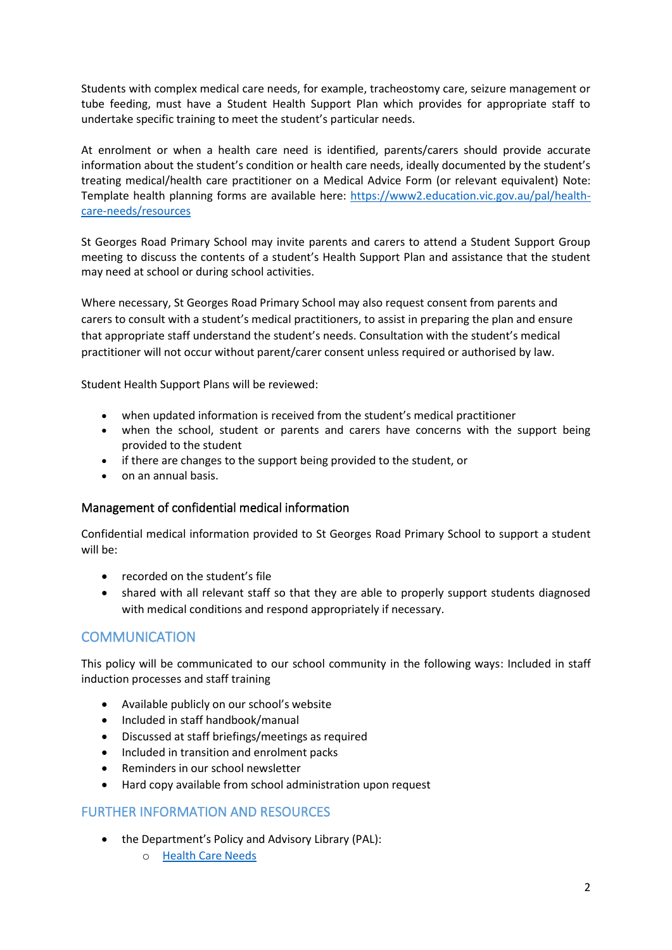Students with complex medical care needs, for example, tracheostomy care, seizure management or tube feeding, must have a Student Health Support Plan which provides for appropriate staff to undertake specific training to meet the student's particular needs.

At enrolment or when a health care need is identified, parents/carers should provide accurate information about the student's condition or health care needs, ideally documented by the student's treating medical/health care practitioner on a Medical Advice Form (or relevant equivalent) Note: Template health planning forms are available here: [https://www2.education.vic.gov.au/pal/health](https://www2.education.vic.gov.au/pal/health-care-needs/resources)[care-needs/resources](https://www2.education.vic.gov.au/pal/health-care-needs/resources)

St Georges Road Primary School may invite parents and carers to attend a Student Support Group meeting to discuss the contents of a student's Health Support Plan and assistance that the student may need at school or during school activities.

Where necessary, St Georges Road Primary School may also request consent from parents and carers to consult with a student's medical practitioners, to assist in preparing the plan and ensure that appropriate staff understand the student's needs. Consultation with the student's medical practitioner will not occur without parent/carer consent unless required or authorised by law.

Student Health Support Plans will be reviewed:

- when updated information is received from the student's medical practitioner
- when the school, student or parents and carers have concerns with the support being provided to the student
- if there are changes to the support being provided to the student, or
- on an annual basis.

#### Management of confidential medical information

Confidential medical information provided to St Georges Road Primary School to support a student will be:

- recorded on the student's file
- shared with all relevant staff so that they are able to properly support students diagnosed with medical conditions and respond appropriately if necessary.

## **COMMUNICATION**

This policy will be communicated to our school community in the following ways: Included in staff induction processes and staff training

- Available publicly on our school's website
- Included in staff handbook/manual
- Discussed at staff briefings/meetings as required
- Included in transition and enrolment packs
- Reminders in our school newsletter
- Hard copy available from school administration upon request

#### FURTHER INFORMATION AND RESOURCES

- the Department's Policy and Advisory Library (PAL):
	- o [Health Care Needs](https://www2.education.vic.gov.au/pal/health-care-needs/policy)